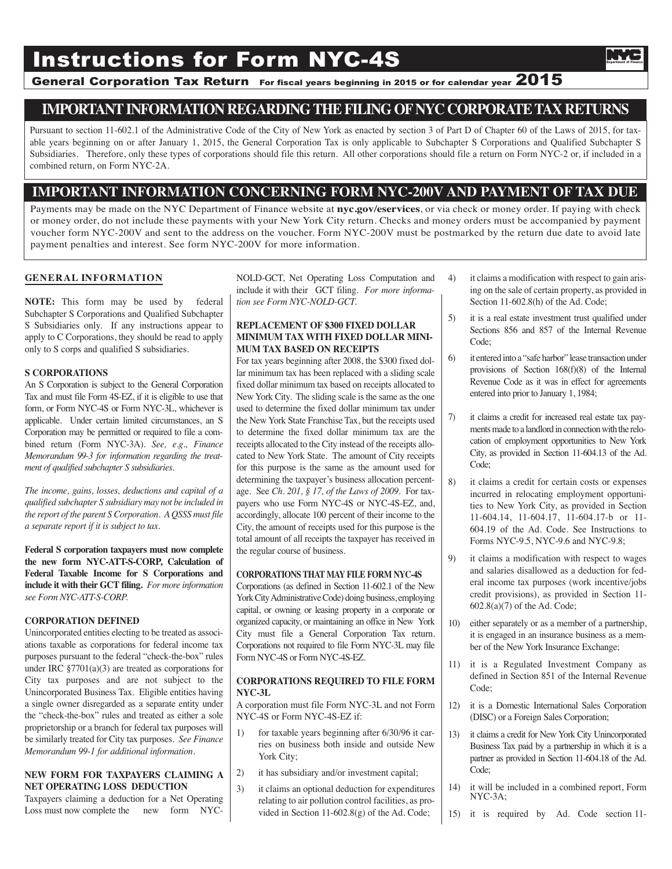# **Instructions for Form NYC-4S**

# General Corporation Tax Return For fiscal years beginning in 2015 or for calendar year 2015

# **IMPORTANTINFORMATION REGARDINGTHEFILINGOFNYC CORPORATETAX RETURNS**

Pursuant to section 11-602.1 of the Administrative Code of the City of New York as enacted by section 3 of Part D of Chapter 60 of the Laws of 2015, for taxable years beginning on or after January 1, 2015, the General Corporation Tax is only applicable to Subchapter S Corporations and Qualified Subchapter S Subsidiaries. Therefore, only these types of corporations should file this return. All other corporations should file a return on Form NYC-2 or, if included in a combined return, on Form NYC-2A.

## **IMPORTANT INFORMATION CONCERNING FORM NYC-200V AND PAYMENT OF TAX DUE**

Payments may be made on the NYC Department of Finance website at **nyc.gov/eservices**, or via check or money order. If paying with check or money order, do not include these payments with your New York City return. Checks and money orders must be accompanied by payment voucher form NYC-200V and sent to the address on the voucher. Form NYC-200V must be postmarked by the return due date to avoid late payment penalties and interest. See form NYC-200V for more information.

## **GENERAL INFORMATION**

**NOTE:** This form may be used by federal Subchapter S Corporations and Qualified Subchapter S Subsidiaries only. If any instructions appear to apply to C Corporations, they should be read to apply only to S corps and qualified S subsidiaries.

#### **S CORPORATIONS**

An S Corporation is subject to the General Corporation Tax and must file Form 4S-EZ, if it is eligible to use that form, or Form NYC-4S or Form NYC-3L, whichever is applicable. Under certain limited circumstances, an S Corporation may be permitted or required to file a combined return (Form NYC-3A). *See, e.g., Finance Memorandum 99-3 for information regarding the treatment of qualified subchapter S subsidiaries.*

*The income, gains, losses, deductions and capital of a qualified subchapter S subsidiary may not be included in the report of the parent S Corporation. A QSSS must file a separate report if it is subject to tax.*

**Federal S corporation taxpayers must now complete the new form NYC-ATT-S-CORP, Calculation of Federal Taxable Income for S Corporations and include it with their GCT filing.** *For more information see Form NYC-ATT-S-CORP.*

#### **CORPORATION DEFINED**

Unincorporated entities electing to be treated as associations taxable as corporations for federal income tax purposes pursuant to the federal "check-the-box" rules under IRC  $\S 7701(a)(3)$  are treated as corporations for City tax purposes and are not subject to the Unincorporated Business Tax. Eligible entities having a single owner disregarded as a separate entity under the "check-the-box" rules and treated as either a sole proprietorship or a branch for federal tax purposes will be similarly treated for City tax purposes. *See Finance Memorandum 99-1 for additional information.*

#### **NEW FORM FOR TAXPAYERS CLAIMING A NET OPERATING LOSS DEDUCTION**

Taxpayers claiming a deduction for a Net Operating Loss must now complete the new form NYC-

NOLD-GCT, Net Operating Loss Computation and include it with their GCT filing. *For more information see Form NYC-NOLD-GCT.*

#### **REPLACEMENT OF \$300 FIXED DOLLAR MINIMUM TAX WITH FIXED DOLLAR MINI-MUM TAX BASED ON RECEIPTS**

For tax years beginning after 2008, the \$300 fixed dollar minimum tax has been replaced with a sliding scale fixed dollar minimum tax based on receipts allocated to New York City. The sliding scale is the same as the one used to determine the fixed dollar minimum tax under the New York State Franchise Tax, but the receipts used to determine the fixed dollar minimum tax are the receipts allocated to the City instead of the receipts allocated to New York State. The amount of City receipts for this purpose is the same as the amount used for determining the taxpayer's business allocation percentage. See *Ch. 201, § 17, of the Laws of 2009.* For taxpayers who use Form NYC-4S or NYC-4S-EZ, and, accordingly, allocate 100 percent of their income to the City, the amount of receipts used for this purpose is the total amount of all receipts the taxpayer has received in the regular course of business.

#### **CORPORATIONS THAT MAY FILE FORM NYC-4S**

Corporations (as defined in Section 11-602.1 of the New York City Administrative Code) doing business, employing capital, or owning or leasing property in a corporate or organized capacity, or maintaining an office in New York City must file a General Corporation Tax return. Corporations not required to file Form NYC-3L may file Form NYC-4S or Form NYC-4S-EZ.

#### **CORPORATIONS REQUIRED TO FILE FORM NYC-3L**

A corporation must file Form NYC-3L and not Form NYC-4S or Form NYC-4S-EZ if:

- 1) for taxable years beginning after 6/30/96 it carries on business both inside and outside New York City;
- 2) it has subsidiary and/or investment capital;
- 3) it claims an optional deduction for expenditures relating to air pollution control facilities, as provided in Section 11-602.8(g) of the Ad. Code;
- 4) it claims a modification with respect to gain arising on the sale of certain property, as provided in Section 11-602.8(h) of the Ad. Code;
- 5) it is a real estate investment trust qualified under Sections 856 and 857 of the Internal Revenue Code;
- 6) it entered into a "safe harbor" lease transaction under provisions of Section 168(f)(8) of the Internal Revenue Code as it was in effect for agreements entered into prior to January 1, 1984;
- 7) it claims a credit for increased real estate tax payments made to a landlord in connection with the relocation of employment opportunities to New York City, as provided in Section 11-604.13 of the Ad. Code;
- 8) it claims a credit for certain costs or expenses incurred in relocating employment opportunities to New York City, as provided in Section 11-604.14, 11-604.17, 11-604.17-b or 11- 604.19 of the Ad. Code. See Instructions to Forms NYC-9.5, NYC-9.6 and NYC-9.8;
- 9) it claims a modification with respect to wages and salaries disallowed as a deduction for federal income tax purposes (work incentive/jobs credit provisions), as provided in Section 11- 602.8(a)(7) of the Ad. Code;
- 10) either separately or as a member of a partnership, it is engaged in an insurance business as a member of the New York Insurance Exchange;
- 11) it is a Regulated Investment Company as defined in Section 851 of the Internal Revenue Code;
- 12) it is a Domestic International Sales Corporation (DISC) or a Foreign Sales Corporation;
- 13) it claims a credit for New York City Unincorporated Business Tax paid by a partnership in which it is a partner as provided in Section 11-604.18 of the Ad. Code;
- 14) it will be included in a combined report, Form NYC-3A;
- 15) it is required by Ad. Code section 11-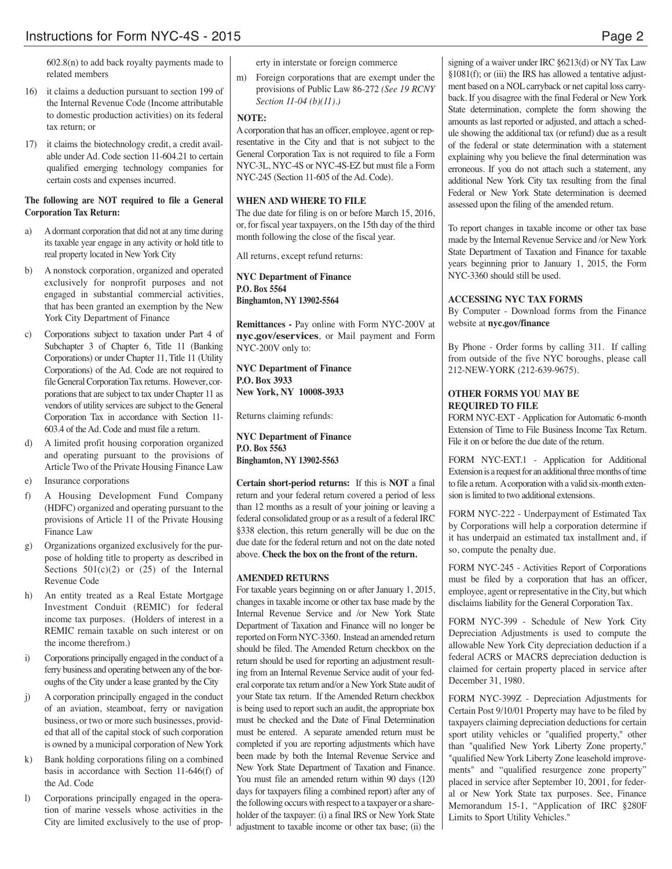602.8(n) to add back royalty payments made to related members

- 16) it claims a deduction pursuant to section 199 of the Internal Revenue Code (Income attributable to domestic production activities) on its federal tax return; or
- 17) it claims the biotechnology credit, a credit available under Ad. Code section 11-604.21 to certain qualified emerging technology companies for certain costs and expenses incurred.

## **The following are NOT required to file a General Corporation Tax Return:**

- a) Adormant corporation that did not at any time during its taxable year engage in any activity or hold title to real property located in New York City
- b) A nonstock corporation, organized and operated exclusively for nonprofit purposes and not engaged in substantial commercial activities, that has been granted an exemption by the New York City Department of Finance
- c) Corporations subject to taxation under Part 4 of Subchapter 3 of Chapter 6, Title 11 (Banking Corporations) or under Chapter 11, Title 11 (Utility Corporations) of the Ad. Code are not required to file General Corporation Tax returns. However, corporations that are subject to tax under Chapter 11 as vendors of utility services are subject to the General Corporation Tax in accordance with Section 11- 603.4 of the Ad. Code and must file a return.
- d) A limited profit housing corporation organized and operating pursuant to the provisions of Article Two of the Private Housing Finance Law
- e) Insurance corporations
- f) A Housing Development Fund Company (HDFC) organized and operating pursuant to the provisions of Article 11 of the Private Housing Finance Law
- g) Organizations organized exclusively for the purpose of holding title to property as described in Sections  $501(c)(2)$  or  $(25)$  of the Internal Revenue Code
- h) An entity treated as a Real Estate Mortgage Investment Conduit (REMIC) for federal income tax purposes. (Holders of interest in a REMIC remain taxable on such interest or on the income therefrom.)
- i) Corporations principally engaged in the conduct of a ferry business and operating between any of the boroughs of the City under a lease granted by the City
- j) A corporation principally engaged in the conduct of an aviation, steamboat, ferry or navigation business, or two or more such businesses, provided that all of the capital stock of such corporation is owned by a municipal corporation of New York
- k) Bank holding corporations filing on a combined basis in accordance with Section 11-646(f) of the Ad. Code
- l) Corporations principally engaged in the operation of marine vessels whose activities in the City are limited exclusively to the use of prop-

erty in interstate or foreign commerce

m) Foreign corporations that are exempt under the provisions of Public Law 86-272 *(See 19 RCNY Section 11-04 (b)(11).)*

## **NOTE:**

Acorporation that has an officer, employee, agent or representative in the City and that is not subject to the General Corporation Tax is not required to file a Form NYC-3L, NYC-4S or NYC-4S-EZ but must file a Form NYC-245 (Section 11-605 of the Ad. Code).

## **WHEN AND WHERE TO FILE**

The due date for filing is on or before March 15, 2016, or, for fiscal year taxpayers, on the 15th day of the third month following the close of the fiscal year.

All returns, except refund returns:

**NYC Department of Finance P.O. Box 5564 Binghamton, NY 13902-5564**

**Remittances -** Pay online with Form NYC-200V at **nyc.gov/eservices**, or Mail payment and Form NYC-200V only to:

**NYC Department of Finance P.O. Box 3933 New York, NY 10008-3933**

Returns claiming refunds:

**NYC Department of Finance P.O. Box 5563 Binghamton, NY 13902-5563**

**Certain short-period returns:** If this is **NOT** a final return and your federal return covered a period of less than 12 months as a result of your joining or leaving a federal consolidated group or as a result of a federal IRC §338 election, this return generally will be due on the due date for the federal return and not on the date noted above. **Check the box on the front of the return.**

## **AMENDED RETURNS**

For taxable years beginning on or after January 1, 2015, changes in taxable income or other tax base made by the Internal Revenue Service and /or New York State Department of Taxation and Finance will no longer be reported on FormNYC-3360. Instead an amended return should be filed. The Amended Return checkbox on the return should be used for reporting an adjustment resulting from an Internal Revenue Service audit of your federal corporate tax return and/or a NewYork State audit of your State tax return. If the Amended Return checkbox is being used to report such an audit, the appropriate box must be checked and the Date of Final Determination must be entered. A separate amended return must be completed if you are reporting adjustments which have been made by both the Internal Revenue Service and New York State Department of Taxation and Finance. You must file an amended return within 90 days (120 days for taxpayers filing a combined report) after any of the following occurs with respect to a taxpayer or a shareholder of the taxpayer: (i) a final IRS or New York State adjustment to taxable income or other tax base; (ii) the

signing of a waiver under IRC §6213(d) or NY Tax Law §1081(f); or (iii) the IRS has allowed a tentative adjustment based on a NOL carryback or net capital loss carryback. If you disagree with the final Federal or New York State determination, complete the form showing the amounts as last reported or adjusted, and attach a schedule showing the additional tax (or refund) due as a result of the federal or state determination with a statement explaining why you believe the final determination was erroneous. If you do not attach such a statement, any additional New York City tax resulting from the final Federal or New York State determination is deemed assessed upon the filing of the amended return.

To report changes in taxable income or other tax base made by the Internal Revenue Service and /or New York State Department of Taxation and Finance for taxable years beginning prior to January 1, 2015, the Form NYC-3360 should still be used.

## **ACCESSING NYC TAX FORMS**

By Computer - Download forms from the Finance website at **nyc.gov/finance**

By Phone - Order forms by calling 311. If calling from outside of the five NYC boroughs, please call 212-NEW-YORK (212-639-9675).

## **OTHER FORMS YOU MAY BE REQUIRED TO FILE**

FORM NYC-EXT - Application for Automatic 6-month Extension of Time to File Business Income Tax Return. File it on or before the due date of the return.

FORM NYC-EXT.1 - Application for Additional Extension is a request for an additional three months of time to file a return. Acorporation with a valid six-month extension is limited to two additional extensions.

FORM NYC-222 - Underpayment of Estimated Tax by Corporations will help a corporation determine if it has underpaid an estimated tax installment and, if so, compute the penalty due.

FORM NYC-245 - Activities Report of Corporations must be filed by a corporation that has an officer, employee, agent or representative in the City, but which disclaims liability for the General Corporation Tax.

FORM NYC-399 - Schedule of New York City Depreciation Adjustments is used to compute the allowable New York City depreciation deduction if a federal ACRS or MACRS depreciation deduction is claimed for certain property placed in service after December 31, 1980.

FORM NYC-399Z - Depreciation Adjustments for Certain Post 9/10/01 Property may have to be filed by taxpayers claiming depreciation deductions for certain sport utility vehicles or "qualified property," other than "qualified New York Liberty Zone property," "qualified New York Liberty Zone leasehold improvements" and "qualified resurgence zone property" placed in service after September 10, 2001, for federal or New York State tax purposes. See, Finance Memorandum 15-1, "Application of IRC §280F Limits to Sport Utility Vehicles."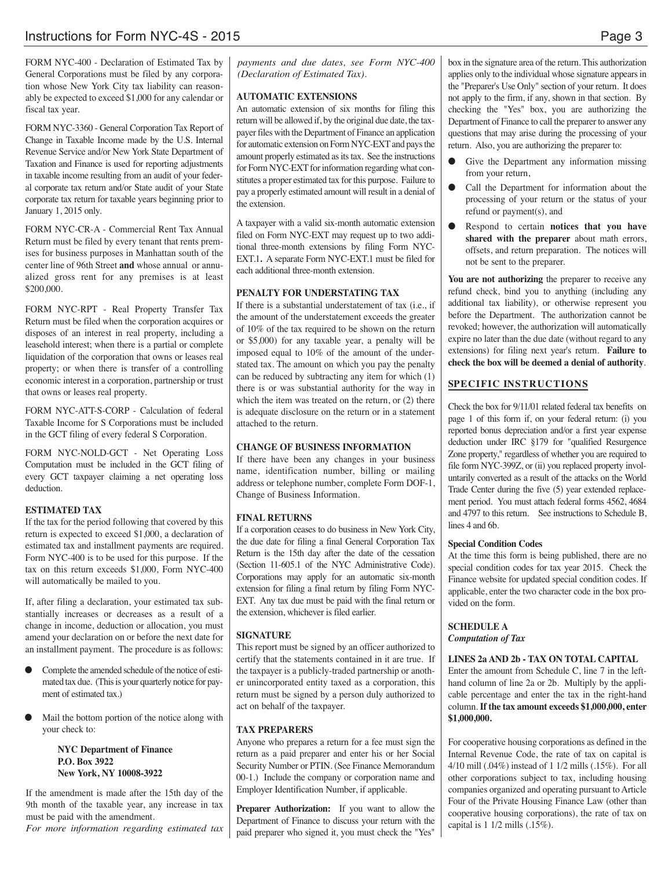FORM NYC-400 - Declaration of Estimated Tax by General Corporations must be filed by any corporation whose New York City tax liability can reasonably be expected to exceed \$1,000 for any calendar or fiscal tax year.

FORM NYC-3360 - General Corporation Tax Report of Change in Taxable Income made by the U.S. Internal Revenue Service and/or New York State Department of Taxation and Finance is used for reporting adjustments in taxable income resulting from an audit of your federal corporate tax return and/or State audit of your State corporate tax return for taxable years beginning prior to January 1, 2015 only.

FORM NYC-CR-A - Commercial Rent Tax Annual Return must be filed by every tenant that rents premises for business purposes in Manhattan south of the center line of 96th Street **and** whose annual or annualized gross rent for any premises is at least \$200,000.

FORM NYC-RPT - Real Property Transfer Tax Return must be filed when the corporation acquires or disposes of an interest in real property, including a leasehold interest; when there is a partial or complete liquidation of the corporation that owns or leases real property; or when there is transfer of a controlling economic interest in a corporation, partnership or trust that owns or leases real property.

FORM NYC-ATT-S-CORP - Calculation of federal Taxable Income for S Corporations must be included in the GCT filing of every federal S Corporation.

FORM NYC-NOLD-GCT - Net Operating Loss Computation must be included in the GCT filing of every GCT taxpayer claiming a net operating loss deduction.

## **ESTIMATED TAX**

If the tax for the period following that covered by this return is expected to exceed \$1,000, a declaration of estimated tax and installment payments are required. Form NYC-400 is to be used for this purpose. If the tax on this return exceeds \$1,000, Form NYC-400 will automatically be mailed to you.

If, after filing a declaration, your estimated tax substantially increases or decreases as a result of a change in income, deduction or allocation, you must amend your declaration on or before the next date for an installment payment. The procedure is as follows:

- Complete the amended schedule of the notice of estimated tax due. (This is your quarterly notice for payment of estimated tax.)
- Mail the bottom portion of the notice along with your check to:

**NYC Department of Finance P.O. Box 3922 New York, NY 10008-3922**

If the amendment is made after the 15th day of the 9th month of the taxable year, any increase in tax must be paid with the amendment.

*For more information regarding estimated tax*

*payments and due dates, see Form NYC-400 (Declaration of Estimated Tax).*

## **AUTOMATIC EXTENSIONS**

An automatic extension of six months for filing this return will be allowed if, by the original due date, the taxpayer files with the Department of Finance an application for automatic extension on Form NYC-EXT and pays the amount properly estimated as its tax. See the instructions for Form NYC-EXT for information regarding what constitutes a proper estimated tax for this purpose. Failure to pay a properly estimated amount will result in a denial of the extension.

A taxpayer with a valid six-month automatic extension filed on Form NYC-EXT may request up to two additional three-month extensions by filing Form NYC-EXT.1**.** A separate Form NYC-EXT.1 must be filed for each additional three-month extension.

## **PENALTY FOR UNDERSTATING TAX**

If there is a substantial understatement of tax (i.e., if the amount of the understatement exceeds the greater of 10% of the tax required to be shown on the return or \$5,000) for any taxable year, a penalty will be imposed equal to 10% of the amount of the understated tax. The amount on which you pay the penalty can be reduced by subtracting any item for which (1) there is or was substantial authority for the way in which the item was treated on the return, or  $(2)$  there is adequate disclosure on the return or in a statement attached to the return.

#### **CHANGE OF BUSINESS INFORMATION**

If there have been any changes in your business name, identification number, billing or mailing address or telephone number, complete Form DOF-1, Change of Business Information.

## **FINAL RETURNS**

If a corporation ceases to do business in New York City, the due date for filing a final General Corporation Tax Return is the 15th day after the date of the cessation (Section 11-605.1 of the NYC Administrative Code). Corporations may apply for an automatic six-month extension for filing a final return by filing Form NYC-EXT. Any tax due must be paid with the final return or the extension, whichever is filed earlier.

## **SIGNATURE**

This report must be signed by an officer authorized to certify that the statements contained in it are true. If the taxpayer is a publicly-traded partnership or another unincorporated entity taxed as a corporation, this return must be signed by a person duly authorized to act on behalf of the taxpayer.

## **TAX PREPARERS**

Anyone who prepares a return for a fee must sign the return as a paid preparer and enter his or her Social Security Number or PTIN. (See Finance Memorandum 00-1.) Include the company or corporation name and Employer Identification Number, if applicable.

**Preparer Authorization:** If you want to allow the Department of Finance to discuss your return with the paid preparer who signed it, you must check the "Yes"

box in the signature area of the return. This authorization applies only to the individual whose signature appears in the "Preparer's Use Only" section of your return. It does not apply to the firm, if any, shown in that section. By checking the "Yes" box, you are authorizing the Department of Finance to call the preparer to answer any questions that may arise during the processing of your return. Also, you are authorizing the preparer to:

- Give the Department any information missing from your return,
- **•** Call the Department for information about the processing of your return or the status of your refund or payment(s), and
- l Respond to certain **notices that you have shared with the preparer** about math errors, offsets, and return preparation. The notices will not be sent to the preparer.

**You are not authorizing** the preparer to receive any refund check, bind you to anything (including any additional tax liability), or otherwise represent you before the Department. The authorization cannot be revoked; however, the authorization will automatically expire no later than the due date (without regard to any extensions) for filing next year's return. **Failure to check the box will be deemed a denial of authority**.

## **SPECIFIC INSTRUCTIONS**

Check the box for 9/11/01 related federal tax benefits on page 1 of this form if, on your federal return: (i) you reported bonus depreciation and/or a first year expense deduction under IRC §179 for "qualified Resurgence Zone property," regardless of whether you are required to file form NYC-399Z, or (ii) you replaced property involuntarily converted as a result of the attacks on the World Trade Center during the five (5) year extended replacement period. You must attach federal forms 4562, 4684 and 4797 to this return. See instructions to Schedule B, lines 4 and 6b.

#### **Special Condition Codes**

At the time this form is being published, there are no special condition codes for tax year 2015. Check the Finance website for updated special condition codes. If applicable, enter the two character code in the box provided on the form.

## **SCHEDULE A**

*Computation of Tax*

## **LINES 2a AND 2b - TAX ON TOTAL CAPITAL**

Enter the amount from Schedule C, line 7 in the lefthand column of line 2a or 2b. Multiply by the applicable percentage and enter the tax in the right-hand column. **If the tax amount exceeds \$1,000,000, enter \$1,000,000.**

For cooperative housing corporations as defined in the Internal Revenue Code, the rate of tax on capital is 4/10 mill (.04%) instead of 1 1/2 mills (.15%). For all other corporations subject to tax, including housing companies organized and operating pursuant to Article Four of the Private Housing Finance Law (other than cooperative housing corporations), the rate of tax on capital is 1 1/2 mills (.15%).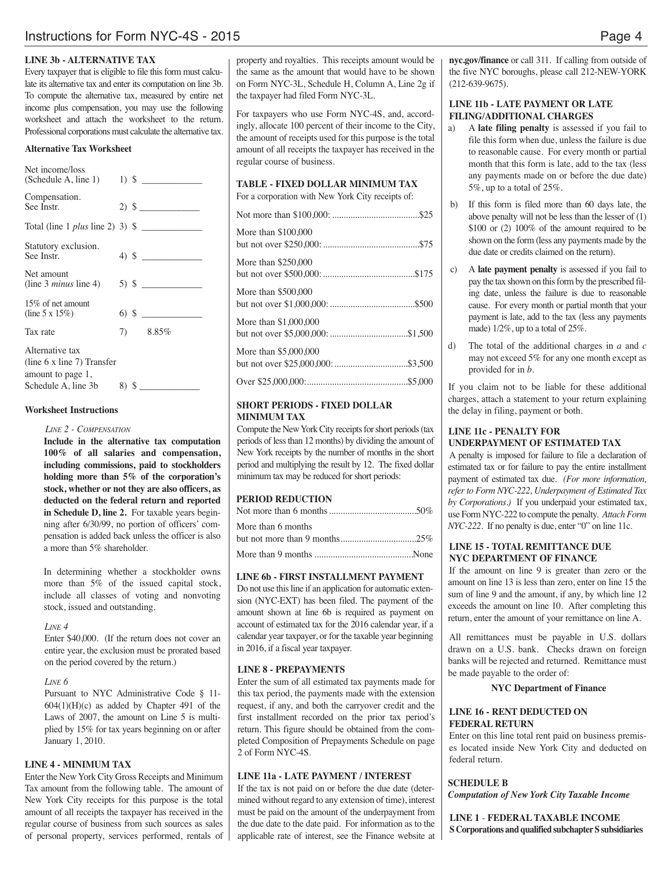#### **LINE 3b - ALTERNATIVE TAX**

Every taxpayer that is eligible to file this form must calculate its alternative tax and enter its computation on line 3b. To compute the alternative tax, measured by entire net income plus compensation, you may use the following worksheet and attach the worksheet to the return. Professional corporations must calculate the alternative tax.

#### **Alternative Tax Worksheet**

| Net income/loss<br>(Schedule A, line 1)                            |  |                    |
|--------------------------------------------------------------------|--|--------------------|
| Compensation.<br>See Instr.                                        |  | $2)$ \$            |
| Total (line 1 <i>plus</i> line 2) 3) $\frac{1}{2}$                 |  |                    |
| Statutory exclusion.<br>See Instr.                                 |  | 4) $\frac{\ }{\ }$ |
| Net amount<br>(line 3 <i>minus</i> line 4)                         |  |                    |
| 15\% of net amount<br>(line 5 x $15\%$ )                           |  |                    |
| Tax rate                                                           |  | 7) 8.85%           |
| Alternative tax<br>(line 6 x line 7) Transfer<br>amount to page 1, |  |                    |
| Schedule A, line 3b                                                |  | $8)$ \$            |

## **Worksheet Instructions**

## *LINE 2 - COMPENSATION*

**Include in the alternative tax computation 100% of all salaries and compensation, including commissions, paid to stockholders holding more than 5% of the corporation's stock, whether or not they are also officers, as deducted on the federal return and reported in Schedule D, line 2.** For taxable years beginning after 6/30/99, no portion of officers' compensation is added back unless the officer is also a more than 5% shareholder.

In determining whether a stockholder owns more than 5% of the issued capital stock, include all classes of voting and nonvoting stock, issued and outstanding.

#### *LINE 4*

Enter \$40,000. (If the return does not cover an entire year, the exclusion must be prorated based on the period covered by the return.)

#### *LINE 6*

Pursuant to NYC Administrative Code § 11-  $604(1)(H)(c)$  as added by Chapter 491 of the Laws of 2007, the amount on Line 5 is multiplied by 15% for tax years beginning on or after January 1, 2010.

## **LINE 4 - MINIMUM TAX**

Enter the New York City Gross Receipts and Minimum Tax amount from the following table. The amount of New York City receipts for this purpose is the total amount of all receipts the taxpayer has received in the regular course of business from such sources as sales of personal property, services performed, rentals of property and royalties. This receipts amount would be the same as the amount that would have to be shown on Form NYC-3L, Schedule H, Column A, Line 2g if the taxpayer had filed Form NYC-3L.

For taxpayers who use Form NYC-4S, and, accordingly, allocate 100 percent of their income to the City, the amount of receipts used for this purpose is the total amount of all receipts the taxpayer has received in the regular course of business.

#### **TABLE - FIXED DOLLAR MINIMUM TAX** For a corporation with New York City receipts of:

| More than \$100,000   |  |
|-----------------------|--|
| More than \$250,000   |  |
| More than \$500,000   |  |
| More than \$1,000,000 |  |
| More than \$5,000,000 |  |
|                       |  |

## **SHORT PERIODS - FIXED DOLLAR MINIMUM TAX**

Compute the New York City receipts for short periods (tax periods of lessthan 12 months) by dividing the amount of New York receipts by the number of months in the short period and multiplying the result by 12. The fixed dollar minimum tax may be reduced for short periods:

### **PERIOD REDUCTION**

| More than 6 months |  |
|--------------------|--|
|                    |  |
|                    |  |

#### **LINE 6b - FIRST INSTALLMENT PAYMENT**

Do not use thisline if an application for automatic extension (NYC-EXT) has been filed. The payment of the amount shown at line 6b is required as payment on account of estimated tax for the 2016 calendar year, if a calendar year taxpayer, or for the taxable year beginning in 2016, if a fiscal year taxpayer.

#### **LINE 8 - PREPAYMENTS**

Enter the sum of all estimated tax payments made for this tax period, the payments made with the extension request, if any, and both the carryover credit and the first installment recorded on the prior tax period's return. This figure should be obtained from the completed Composition of Prepayments Schedule on page 2 of Form NYC-4S.

#### **LINE 11a - LATE PAYMENT / INTEREST**

If the tax is not paid on or before the due date (determined without regard to any extension of time), interest must be paid on the amount of the underpayment from the due date to the date paid. For information as to the applicable rate of interest, see the Finance website at **nyc.gov/finance** or call 311. If calling from outside of the five NYC boroughs, please call 212-NEW-YORK (212-639-9675).

## **LINE 11b - LATE PAYMENT OR LATE FILING/ADDITIONAL CHARGES**

- a) A **late filing penalty** is assessed if you fail to file this form when due, unless the failure is due to reasonable cause. For every month or partial month that this form is late, add to the tax (less any payments made on or before the due date) 5%, up to a total of 25%.
- b) If this form is filed more than 60 days late, the above penalty will not be less than the lesser of (1) \$100 or (2) 100% of the amount required to be shown on the form (less any payments made by the due date or credits claimed on the return).
- c) A **late payment penalty** is assessed if you fail to pay the tax shown on this form by the prescribed filing date, unless the failure is due to reasonable cause. For every month or partial month that your payment is late, add to the tax (less any payments made) 1/2%, up to a total of 25%.
- d) The total of the additional charges in *a* and *c* may not exceed 5% for any one month except as provided for in *b.*

If you claim not to be liable for these additional charges, attach a statement to your return explaining the delay in filing, payment or both.

#### **LINE 11c - PENALTY FOR UNDERPAYMENT OF ESTIMATED TAX**

A penalty is imposed for failure to file a declaration of estimated tax or for failure to pay the entire installment payment of estimated tax due. *(For more information, refer to Form NYC-222, Underpayment of Estimated Tax by Corporations.)* If you underpaid your estimated tax, use Form NYC-222 to compute the penalty. *Attach Form NYC-222*. If no penalty is due, enter "0" on line 11c.

### **LINE 15 - TOTAL REMITTANCE DUE NYC DEPARTMENT OF FINANCE**

If the amount on line 9 is greater than zero or the amount on line 13 is less than zero, enter on line 15 the sum of line 9 and the amount, if any, by which line 12 exceeds the amount on line 10. After completing this return, enter the amount of your remittance on line A.

All remittances must be payable in U.S. dollars drawn on a U.S. bank. Checks drawn on foreign banks will be rejected and returned. Remittance must be made payable to the order of:

#### **NYC Department of Finance**

## **LINE 16 - RENT DEDUCTED ON FEDERAL RETURN**

Enter on this line total rent paid on business premises located inside New York City and deducted on federal return.

#### **SCHEDULE B**

*Computation of New York City Taxable Income*

**LINE 1** - **FEDERAL TAXABLE INCOME S Corporations and qualified subchapter S subsidiaries**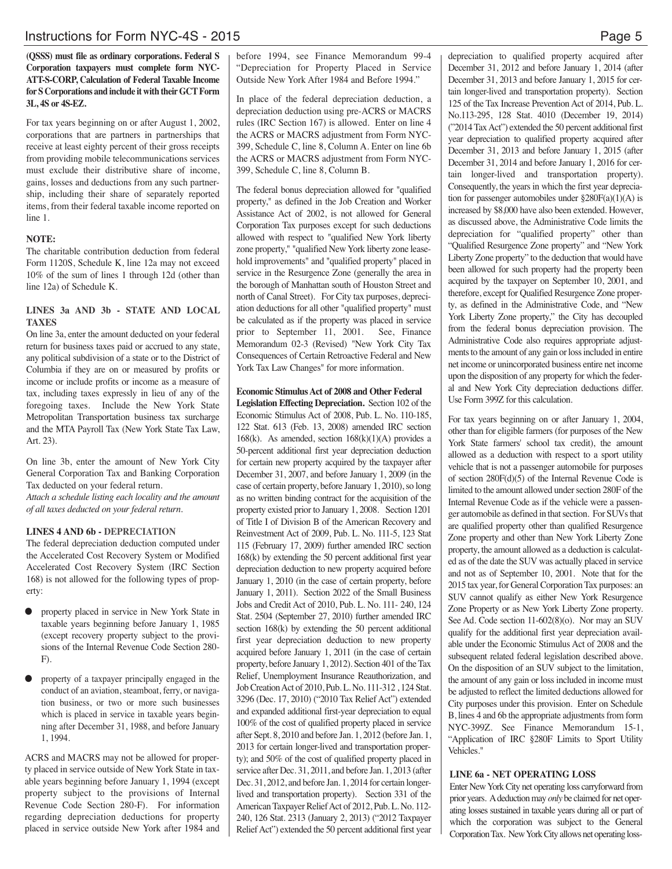## **(QSSS) must file as ordinary corporations. Federal S Corporation taxpayers must complete form NYC-ATT-S-CORP, Calculation of Federal Taxable Income for S Corporations and include it with theirGCTForm 3L, 4S or 4S-EZ.**

For tax years beginning on or after August 1, 2002, corporations that are partners in partnerships that receive at least eighty percent of their gross receipts from providing mobile telecommunications services must exclude their distributive share of income, gains, losses and deductions from any such partnership, including their share of separately reported items, from their federal taxable income reported on line 1.

## **NOTE:**

The charitable contribution deduction from federal Form 1120S, Schedule K, line 12a may not exceed 10% of the sum of lines 1 through 12d (other than line 12a) of Schedule K.

## **LINES 3a AND 3b - STATE AND LOCAL TAXES**

On line 3a, enter the amount deducted on your federal return for business taxes paid or accrued to any state, any political subdivision of a state or to the District of Columbia if they are on or measured by profits or income or include profits or income as a measure of tax, including taxes expressly in lieu of any of the foregoing taxes. Include the New York State Metropolitan Transportation business tax surcharge and the MTA Payroll Tax (New York State Tax Law, Art. 23).

On line 3b, enter the amount of New York City General Corporation Tax and Banking Corporation Tax deducted on your federal return.

*Attach a schedule listing each locality and the amount of all taxes deducted on your federal return.*

## **LINES 4 AND 6b - DEPRECIATION**

The federal depreciation deduction computed under the Accelerated Cost Recovery System or Modified Accelerated Cost Recovery System (IRC Section 168) is not allowed for the following types of property:

- property placed in service in New York State in taxable years beginning before January 1, 1985 (except recovery property subject to the provisions of the Internal Revenue Code Section 280- F).
- property of a taxpayer principally engaged in the conduct of an aviation, steamboat, ferry, or navigation business, or two or more such businesses which is placed in service in taxable years beginning after December 31, 1988, and before January 1, 1994.

ACRS and MACRS may not be allowed for property placed in service outside of New York State in taxable years beginning before January 1, 1994 (except property subject to the provisions of Internal Revenue Code Section 280-F). For information regarding depreciation deductions for property placed in service outside New York after 1984 and

before 1994, see Finance Memorandum 99-4 "Depreciation for Property Placed in Service Outside New York After 1984 and Before 1994."

In place of the federal depreciation deduction, a depreciation deduction using pre-ACRS or MACRS rules (IRC Section 167) is allowed. Enter on line 4 the ACRS or MACRS adjustment from Form NYC-399, Schedule C, line 8, Column A. Enter on line 6b the ACRS or MACRS adjustment from Form NYC-399, Schedule C, line 8, Column B.

The federal bonus depreciation allowed for "qualified property," as defined in the Job Creation and Worker Assistance Act of 2002, is not allowed for General Corporation Tax purposes except for such deductions allowed with respect to "qualified New York liberty zone property," "qualified New York liberty zone leasehold improvements" and "qualified property" placed in service in the Resurgence Zone (generally the area in the borough of Manhattan south of Houston Street and north of Canal Street). For City tax purposes, depreciation deductions for all other "qualified property" must be calculated as if the property was placed in service prior to September 11, 2001. See, Finance Memorandum 02-3 (Revised) "New York City Tax Consequences of Certain Retroactive Federal and New York Tax Law Changes" for more information.

## **Economic StimulusAct of 2008 and Other Federal**

**Legislation Effecting Depreciation.** Section 102 of the Economic Stimulus Act of 2008, Pub. L. No. 110-185, 122 Stat. 613 (Feb. 13, 2008) amended IRC section 168(k). As amended, section 168(k)(1)(A) provides a 50-percent additional first year depreciation deduction for certain new property acquired by the taxpayer after December 31, 2007, and before January 1, 2009 (in the case of certain property, before January 1, 2010), so long as no written binding contract for the acquisition of the property existed prior to January 1, 2008. Section 1201 of Title I of Division B of the American Recovery and Reinvestment Act of 2009, Pub. L. No. 111-5, 123 Stat 115 (February 17, 2009) further amended IRC section 168(k) by extending the 50 percent additional first year depreciation deduction to new property acquired before January 1, 2010 (in the case of certain property, before January 1, 2011). Section 2022 of the Small Business Jobs and Credit Act of 2010, Pub. L. No. 111- 240, 124 Stat. 2504 (September 27, 2010) further amended IRC section 168(k) by extending the 50 percent additional first year depreciation deduction to new property acquired before January 1, 2011 (in the case of certain property, before January 1, 2012). Section 401 of the Tax Relief, Unemployment Insurance Reauthorization, and JobCreationAct of 2010, Pub. L. No. 111-312 , 124 Stat. 3296 (Dec. 17, 2010) ("2010 Tax Relief Act") extended and expanded additional first-year depreciation to equal 100% of the cost of qualified property placed in service after Sept. 8, 2010 and before Jan. 1, 2012 (before Jan. 1, 2013 for certain longer-lived and transportation property); and 50% of the cost of qualified property placed in service after Dec. 31, 2011, and before Jan. 1, 2013 (after Dec. 31, 2012, and before Jan. 1, 2014 for certain longerlived and transportation property). Section 331 of the American Taxpayer Relief Act of 2012, Pub. L. No. 112-240, 126 Stat. 2313 (January 2, 2013) ("2012 Taxpayer Relief Act") extended the 50 percent additional first year

depreciation to qualified property acquired after December 31, 2012 and before January 1, 2014 (after December 31, 2013 and before January 1, 2015 for certain longer-lived and transportation property). Section 125 of the Tax Increase Prevention Act of 2014, Pub. L. No.113-295, 128 Stat. 4010 (December 19, 2014) ("2014 TaxAct") extended the 50 percent additional first year depreciation to qualified property acquired after December 31, 2013 and before January 1, 2015 (after December 31, 2014 and before January 1, 2016 for certain longer-lived and transportation property). Consequently, the years in which the first year depreciation for passenger automobiles under §280F(a)(1)(A) is increased by \$8,000 have also been extended. However, as discussed above, the Administrative Code limits the depreciation for "qualified property" other than "Qualified Resurgence Zone property" and "New York Liberty Zone property" to the deduction that would have been allowed for such property had the property been acquired by the taxpayer on September 10, 2001, and therefore, except for Qualified Resurgence Zone property, as defined in the Administrative Code, and "New York Liberty Zone property," the City has decoupled from the federal bonus depreciation provision. The Administrative Code also requires appropriate adjustments to the amount of any gain or loss included in entire net income or unincorporated business entire net income upon the disposition of any property for which the federal and New York City depreciation deductions differ. Use Form 399Z for this calculation.

For tax years beginning on or after January 1, 2004, other than for eligible farmers (for purposes of the New York State farmers' school tax credit), the amount allowed as a deduction with respect to a sport utility vehicle that is not a passenger automobile for purposes of section 280F(d)(5) of the Internal Revenue Code is limited to the amount allowed under section 280F of the Internal Revenue Code as if the vehicle were a passenger automobile as defined in that section. For SUVs that are qualified property other than qualified Resurgence Zone property and other than New York Liberty Zone property, the amount allowed as a deduction is calculated as of the date the SUV was actually placed in service and not as of September 10, 2001. Note that for the 2015 tax year, for General Corporation Tax purposes: an SUV cannot qualify as either New York Resurgence Zone Property or as New York Liberty Zone property. See Ad. Code section 11-602(8)(o). Nor may an SUV qualify for the additional first year depreciation available under the Economic Stimulus Act of 2008 and the subsequent related federal legislation described above. On the disposition of an SUV subject to the limitation, the amount of any gain or loss included in income must be adjusted to reflect the limited deductions allowed for City purposes under this provision. Enter on Schedule B, lines 4 and 6b the appropriate adjustments from form NYC-399Z. See Finance Memorandum 15-1, "Application of IRC §280F Limits to Sport Utility Vehicles."

## **LINE 6a - NET OPERATING LOSS**

Enter NewYork City net operating loss carryforward from prior years. A deduction may *only* be claimed for net operating losses sustained in taxable years during all or part of which the corporation was subject to the General CorporationTax. NewYorkCity allows net operating loss